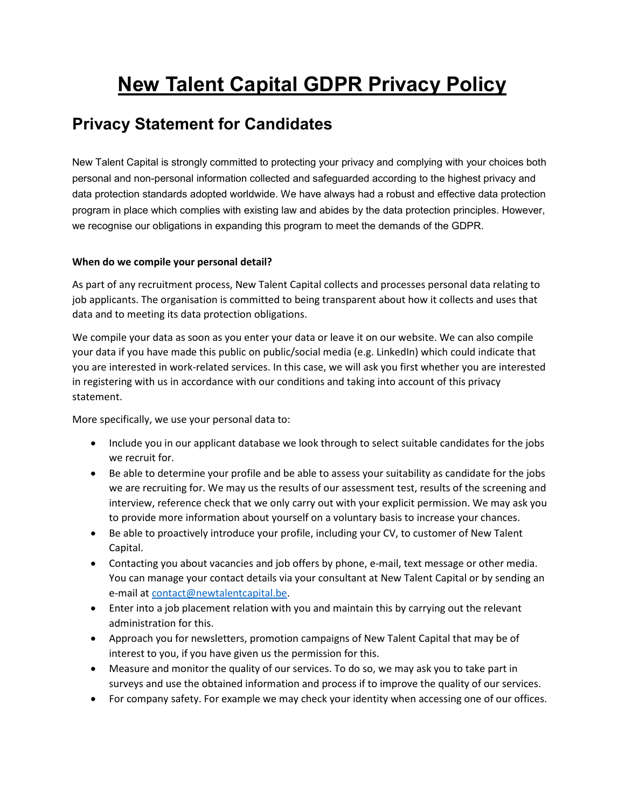# **New Talent Capital GDPR Privacy Policy**

# **Privacy Statement for Candidates**

New Talent Capital is strongly committed to protecting your privacy and complying with your choices both personal and non-personal information collected and safeguarded according to the highest privacy and data protection standards adopted worldwide. We have always had a robust and effective data protection program in place which complies with existing law and abides by the data protection principles. However, we recognise our obligations in expanding this program to meet the demands of the GDPR.

## **When do we compile your personal detail?**

As part of any recruitment process, New Talent Capital collects and processes personal data relating to job applicants. The organisation is committed to being transparent about how it collects and uses that data and to meeting its data protection obligations.

We compile your data as soon as you enter your data or leave it on our website. We can also compile your data if you have made this public on public/social media (e.g. LinkedIn) which could indicate that you are interested in work-related services. In this case, we will ask you first whether you are interested in registering with us in accordance with our conditions and taking into account of this privacy statement.

More specifically, we use your personal data to:

- Include you in our applicant database we look through to select suitable candidates for the jobs we recruit for.
- Be able to determine your profile and be able to assess your suitability as candidate for the jobs we are recruiting for. We may us the results of our assessment test, results of the screening and interview, reference check that we only carry out with your explicit permission. We may ask you to provide more information about yourself on a voluntary basis to increase your chances.
- Be able to proactively introduce your profile, including your CV, to customer of New Talent Capital.
- Contacting you about vacancies and job offers by phone, e-mail, text message or other media. You can manage your contact details via your consultant at New Talent Capital or by sending an e-mail a[t contact@newtalentcapital.be.](mailto:contact@newtalentcapital.be)
- Enter into a job placement relation with you and maintain this by carrying out the relevant administration for this.
- Approach you for newsletters, promotion campaigns of New Talent Capital that may be of interest to you, if you have given us the permission for this.
- Measure and monitor the quality of our services. To do so, we may ask you to take part in surveys and use the obtained information and process if to improve the quality of our services.
- For company safety. For example we may check your identity when accessing one of our offices.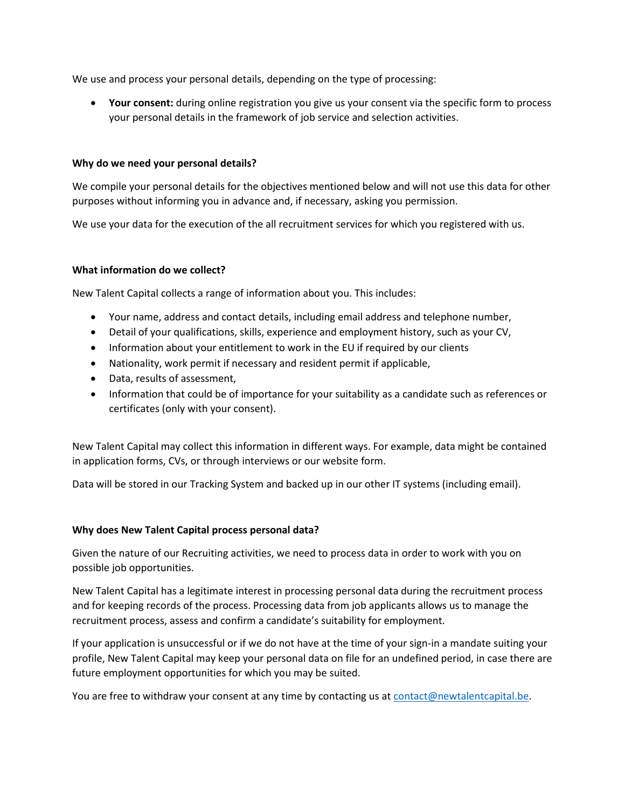We use and process your personal details, depending on the type of processing:

• **Your consent:** during online registration you give us your consent via the specific form to process your personal details in the framework of job service and selection activities.

#### **Why do we need your personal details?**

We compile your personal details for the objectives mentioned below and will not use this data for other purposes without informing you in advance and, if necessary, asking you permission.

We use your data for the execution of the all recruitment services for which you registered with us.

#### **What information do we collect?**

New Talent Capital collects a range of information about you. This includes:

- Your name, address and contact details, including email address and telephone number,
- Detail of your qualifications, skills, experience and employment history, such as your CV,
- Information about your entitlement to work in the EU if required by our clients
- Nationality, work permit if necessary and resident permit if applicable,
- Data, results of assessment,
- Information that could be of importance for your suitability as a candidate such as references or certificates (only with your consent).

New Talent Capital may collect this information in different ways. For example, data might be contained in application forms, CVs, or through interviews or our website form.

Data will be stored in our Tracking System and backed up in our other IT systems (including email).

#### **Why does New Talent Capital process personal data?**

Given the nature of our Recruiting activities, we need to process data in order to work with you on possible job opportunities.

New Talent Capital has a legitimate interest in processing personal data during the recruitment process and for keeping records of the process. Processing data from job applicants allows us to manage the recruitment process, assess and confirm a candidate's suitability for employment.

If your application is unsuccessful or if we do not have at the time of your sign-in a mandate suiting your profile, New Talent Capital may keep your personal data on file for an undefined period, in case there are future employment opportunities for which you may be suited.

You are free to withdraw your consent at any time by contacting us a[t contact@newtalentcapital.be.](mailto:contact@newtalentcapital.be)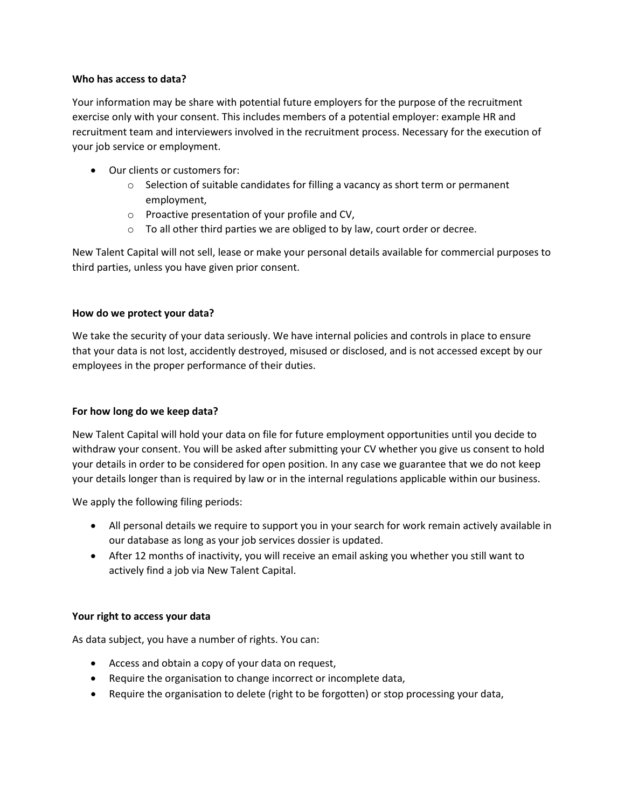#### **Who has access to data?**

Your information may be share with potential future employers for the purpose of the recruitment exercise only with your consent. This includes members of a potential employer: example HR and recruitment team and interviewers involved in the recruitment process. Necessary for the execution of your job service or employment.

- Our clients or customers for:
	- $\circ$  Selection of suitable candidates for filling a vacancy as short term or permanent employment,
	- o Proactive presentation of your profile and CV,
	- o To all other third parties we are obliged to by law, court order or decree.

New Talent Capital will not sell, lease or make your personal details available for commercial purposes to third parties, unless you have given prior consent.

#### **How do we protect your data?**

We take the security of your data seriously. We have internal policies and controls in place to ensure that your data is not lost, accidently destroyed, misused or disclosed, and is not accessed except by our employees in the proper performance of their duties.

#### **For how long do we keep data?**

New Talent Capital will hold your data on file for future employment opportunities until you decide to withdraw your consent. You will be asked after submitting your CV whether you give us consent to hold your details in order to be considered for open position. In any case we guarantee that we do not keep your details longer than is required by law or in the internal regulations applicable within our business.

We apply the following filing periods:

- All personal details we require to support you in your search for work remain actively available in our database as long as your job services dossier is updated.
- After 12 months of inactivity, you will receive an email asking you whether you still want to actively find a job via New Talent Capital.

#### **Your right to access your data**

As data subject, you have a number of rights. You can:

- Access and obtain a copy of your data on request,
- Require the organisation to change incorrect or incomplete data,
- Require the organisation to delete (right to be forgotten) or stop processing your data,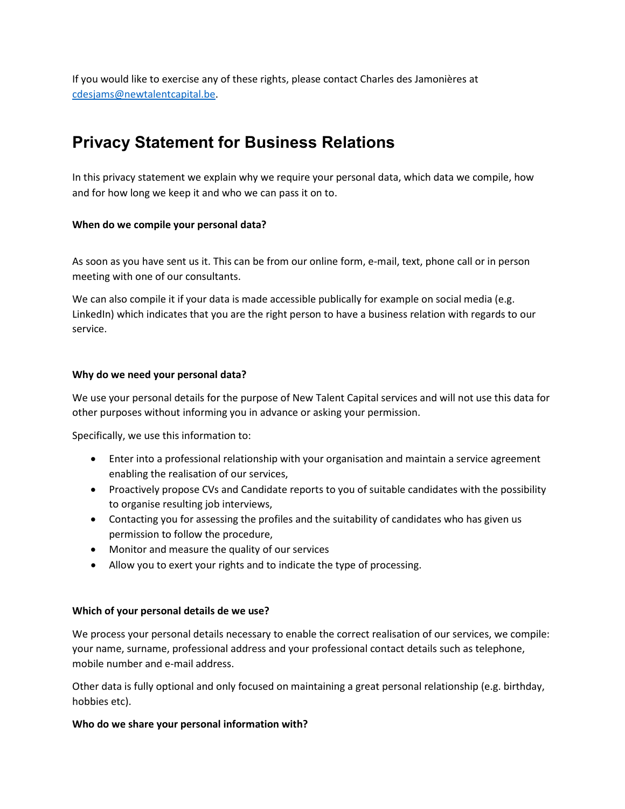If you would like to exercise any of these rights, please contact Charles des Jamonières at [cdesjams@newtalentcapital.be.](mailto:cdesjams@newtalentcapital.be)

# **Privacy Statement for Business Relations**

In this privacy statement we explain why we require your personal data, which data we compile, how and for how long we keep it and who we can pass it on to.

#### **When do we compile your personal data?**

As soon as you have sent us it. This can be from our online form, e-mail, text, phone call or in person meeting with one of our consultants.

We can also compile it if your data is made accessible publically for example on social media (e.g. LinkedIn) which indicates that you are the right person to have a business relation with regards to our service.

#### **Why do we need your personal data?**

We use your personal details for the purpose of New Talent Capital services and will not use this data for other purposes without informing you in advance or asking your permission.

Specifically, we use this information to:

- Enter into a professional relationship with your organisation and maintain a service agreement enabling the realisation of our services,
- Proactively propose CVs and Candidate reports to you of suitable candidates with the possibility to organise resulting job interviews,
- Contacting you for assessing the profiles and the suitability of candidates who has given us permission to follow the procedure,
- Monitor and measure the quality of our services
- Allow you to exert your rights and to indicate the type of processing.

#### **Which of your personal details de we use?**

We process your personal details necessary to enable the correct realisation of our services, we compile: your name, surname, professional address and your professional contact details such as telephone, mobile number and e-mail address.

Other data is fully optional and only focused on maintaining a great personal relationship (e.g. birthday, hobbies etc).

#### **Who do we share your personal information with?**